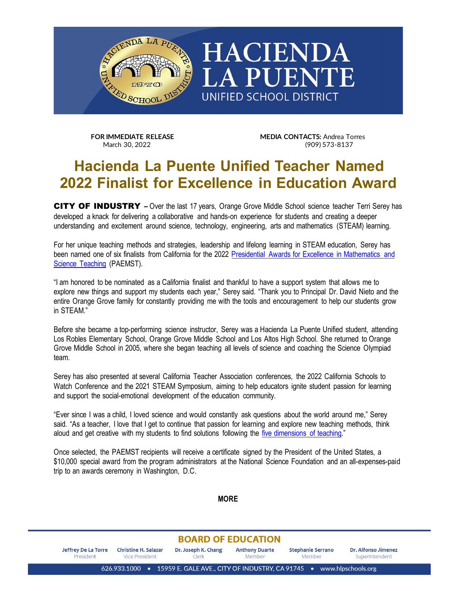

**FOR IMMEDIATE RELEASE MEDIA CONTACTS:** Andrea Torres<br>March 30. 2022 (909) 573-8137

## **Hacienda La Puente Unified Teacher Named 2022 Finalist for Excellence in Education Award**

CITY OF INDUSTRY **–** Over the last 17 years, Orange Grove Middle School science teacher Terri Serey has developed a knack for delivering a collaborative and hands-on experience for students and creating a deeper understanding and excitement around science, technology, engineering, arts and mathematics (STEAM) learning.

For her unique teaching methods and strategies, leadership and lifelong learning in STEAM education, Serey has been named one of six finalists from California for the 2022 [Presidential Awards for Excellence in Mathematics and](https://www.paemst.org/home/view)  [Science Teaching](https://www.paemst.org/home/view) (PAEMST).

"I am honored to be nominated as a California finalist and thankful to have a support system that allows me to explore new things and support my students each year," Serey said. "Thank you to Principal Dr. David Nieto and the entire Orange Grove family for constantly providing me with the tools and encouragement to help our students grow in STEAM."

Before she became a top-performing science instructor, Serey was a Hacienda La Puente Unified student, attending Los Robles Elementary School, Orange Grove Middle School and Los Altos High School. She returned to Orange Grove Middle School in 2005, where she began teaching all levels of science and coaching the Science Olympiad team.

Serey has also presented at several California Teacher Association conferences, the 2022 California Schools to Watch Conference and the 2021 STEAM Symposium, aiming to help educators ignite student passion for learning and support the social-emotional development of the education community.

"Ever since I was a child, I loved science and would constantly ask questions about the world around me," Serey said. "As a teacher, I love that I get to continue that passion for learning and explore new teaching methods, think aloud and get creative with my students to find solutions following the [five dimensions of teaching."](https://www.paemst.org/about/view)

Once selected, the PAEMST recipients will receive a certificate signed by the President of the United States, a \$10,000 special award from the program administrators at the National Science Foundation and an all-expenses-paid trip to an awards ceremony in Washington, D.C.

**MORE**

## **BOARD OF EDUCATION**

Dr. Joseph K. Chang **Jeffrey De La Torre Christine H. Salazar Anthony Duarte Stephanie Serrano** Dr. Alfonso Jimenez Superintendent President Vice President Clerk Member Member